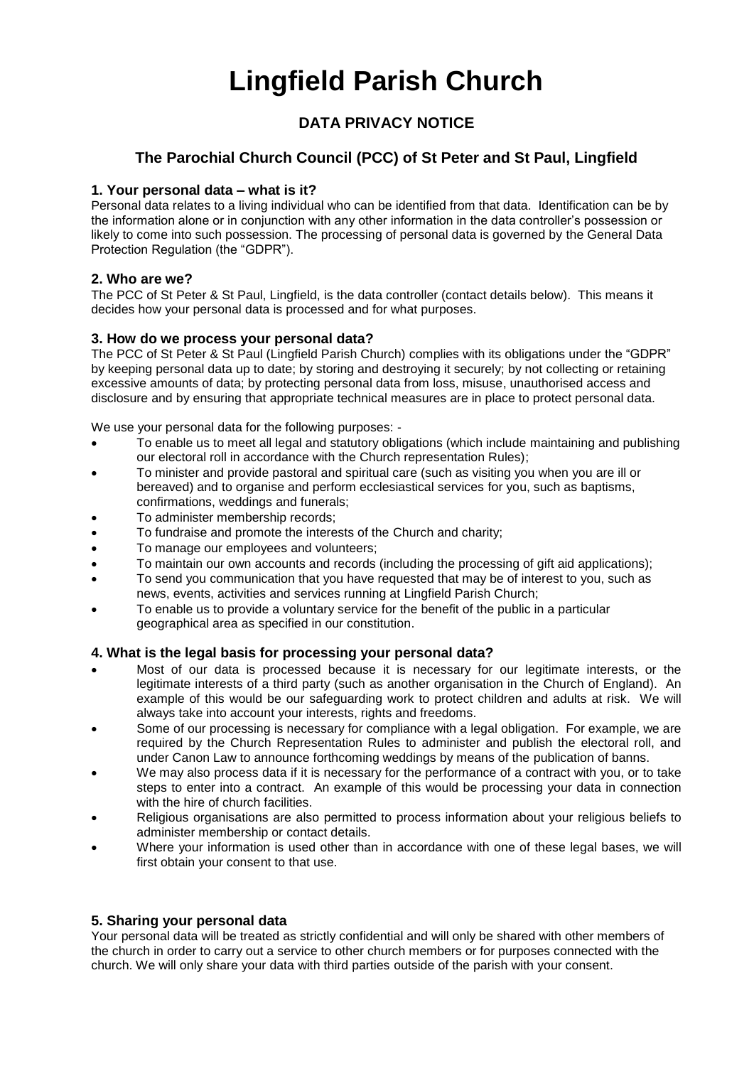# **Lingfield Parish Church**

## **DATA PRIVACY NOTICE**

### **The Parochial Church Council (PCC) of St Peter and St Paul, Lingfield**

#### **1. Your personal data – what is it?**

Personal data relates to a living individual who can be identified from that data. Identification can be by the information alone or in conjunction with any other information in the data controller's possession or likely to come into such possession. The processing of personal data is governed by the General Data Protection Regulation (the "GDPR").

#### **2. Who are we?**

The PCC of St Peter & St Paul, Lingfield, is the data controller (contact details below). This means it decides how your personal data is processed and for what purposes.

#### **3. How do we process your personal data?**

The PCC of St Peter & St Paul (Lingfield Parish Church) complies with its obligations under the "GDPR" by keeping personal data up to date; by storing and destroying it securely; by not collecting or retaining excessive amounts of data; by protecting personal data from loss, misuse, unauthorised access and disclosure and by ensuring that appropriate technical measures are in place to protect personal data.

We use your personal data for the following purposes: -

- To enable us to meet all legal and statutory obligations (which include maintaining and publishing our electoral roll in accordance with the Church representation Rules);
- To minister and provide pastoral and spiritual care (such as visiting you when you are ill or bereaved) and to organise and perform ecclesiastical services for you, such as baptisms, confirmations, weddings and funerals;
- To administer membership records;
- To fundraise and promote the interests of the Church and charity;
- To manage our employees and volunteers;
- To maintain our own accounts and records (including the processing of gift aid applications);
- To send you communication that you have requested that may be of interest to you, such as news, events, activities and services running at Lingfield Parish Church;
- To enable us to provide a voluntary service for the benefit of the public in a particular geographical area as specified in our constitution.

#### **4. What is the legal basis for processing your personal data?**

- Most of our data is processed because it is necessary for our legitimate interests, or the legitimate interests of a third party (such as another organisation in the Church of England). An example of this would be our safeguarding work to protect children and adults at risk. We will always take into account your interests, rights and freedoms.
- Some of our processing is necessary for compliance with a legal obligation. For example, we are required by the Church Representation Rules to administer and publish the electoral roll, and under Canon Law to announce forthcoming weddings by means of the publication of banns.
- We may also process data if it is necessary for the performance of a contract with you, or to take steps to enter into a contract. An example of this would be processing your data in connection with the hire of church facilities.
- Religious organisations are also permitted to process information about your religious beliefs to administer membership or contact details.
- Where your information is used other than in accordance with one of these legal bases, we will first obtain your consent to that use.

#### **5. Sharing your personal data**

Your personal data will be treated as strictly confidential and will only be shared with other members of the church in order to carry out a service to other church members or for purposes connected with the church. We will only share your data with third parties outside of the parish with your consent.